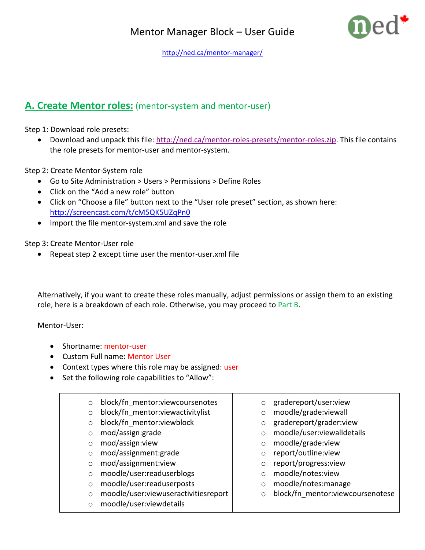

<http://ned.ca/mentor-manager/>

## **A. Create Mentor roles:** (mentor-system and mentor-user)

Step 1: Download role presets:

• Download and unpack this file: [http://ned.ca/mentor-roles-presets/mentor-roles.zip.](http://ned.ca/mentor-roles-presets/mentor-roles.zip) This file contains the role presets for mentor-user and mentor-system.

Step 2: Create Mentor-System role

- Go to Site Administration > Users > Permissions > Define Roles
- Click on the "Add a new role" button
- Click on "Choose a file" button next to the "User role preset" section, as shown here: <http://screencast.com/t/cM5QK5UZqPn0>
- Import the file mentor-system.xml and save the role

Step 3: Create Mentor-User role

Repeat step 2 except time user the mentor-user.xml file

Alternatively, if you want to create these roles manually, adjust permissions or assign them to an existing role, here is a breakdown of each role. Otherwise, you may proceed to Part B.

Mentor-User:

- Shortname: mentor-user
- Custom Full name: Mentor User
- Context types where this role may be assigned: user
- Set the following role capabilities to "Allow":

| $\circ$ | block/fn mentor: view coursenotes    |         | gradereport/user:view            |
|---------|--------------------------------------|---------|----------------------------------|
| $\circ$ | block/fn mentor: viewactivitylist    |         | moodle/grade:viewall             |
| $\circ$ | block/fn mentor: viewblock           | $\circ$ | gradereport/grader:view          |
| $\circ$ | mod/assign:grade                     |         | moodle/user:viewalldetails       |
| $\circ$ | mod/assign:view                      |         | moodle/grade:view                |
| $\circ$ | mod/assignment:grade                 |         | report/outline:view              |
| $\circ$ | mod/assignment:view                  |         | report/progress:view             |
| $\circ$ | moodle/user:readuserblogs            |         | moodle/notes:view                |
| $\circ$ | moodle/user:readuserposts            |         | moodle/notes:manage              |
| $\circ$ | moodle/user:viewuseractivitiesreport |         | block/fn mentor:viewcoursenotese |
| $\circ$ | moodle/user:viewdetails              |         |                                  |
|         |                                      |         |                                  |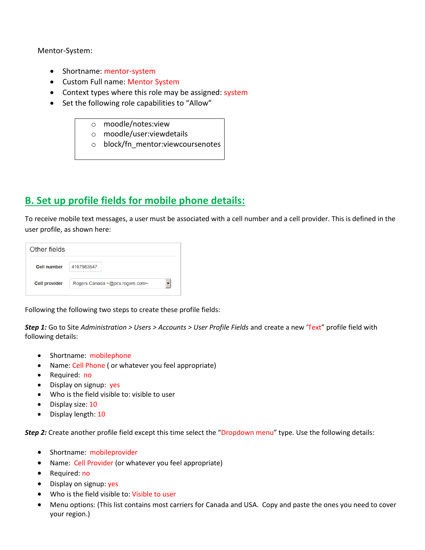Mentor-System:

- Shortname: mentor-system
- Custom Full name: Mentor System
- Context types where this role may be assigned: system
- Set the following role capabilities to "Allow"
	- o moodle/notes:view
	- o moodle/user:viewdetails
	- o block/fn\_mentor:viewcoursenotes

## **B. Set up profile fields for mobile phone details:**

To receive mobile text messages, a user must be associated with a cell number and a cell provider. This is defined in the user profile, as shown here:

| Other fields         |                                 |  |  |  |  |  |  |
|----------------------|---------------------------------|--|--|--|--|--|--|
| <b>Cell number</b>   | 4167983647                      |  |  |  |  |  |  |
| <b>Cell provider</b> | Rogers Canada ~@pcs.rogers.com~ |  |  |  |  |  |  |

Following the following two steps to create these profile fields:

*Step 1:* Go to Site *Administration > Users > Accounts > User Profile Fields* and create a new 'Text" profile field with following details:

- Shortname: mobilephone
- Name: Cell Phone ( or whatever you feel appropriate)
- Required: no
- Display on signup: yes
- Who is the field visible to: visible to user
- Display size: 10
- Display length: 10

*Step 2:* Create another profile field except this time select the "Dropdown menu" type. Use the following details:

- Shortname: mobileprovider
- Name: Cell Provider (or whatever you feel appropriate)
- Required: no
- Display on signup: yes
- Who is the field visible to: Visible to user
- Menu options: (This list contains most carriers for Canada and USA. Copy and paste the ones you need to cover your region.)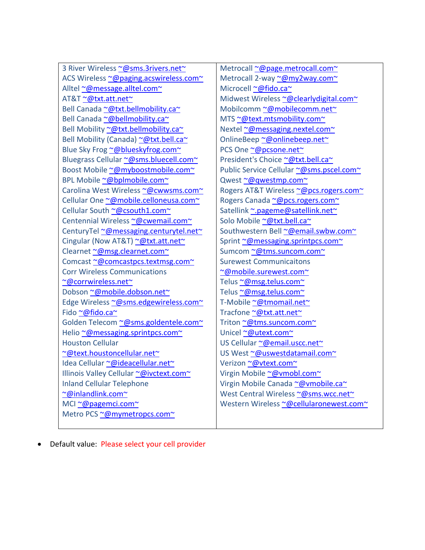| 3 River Wireless ~@sms.3rivers.net~     |  |  |  |  |  |
|-----------------------------------------|--|--|--|--|--|
| ACS Wireless ~@paging.acswireless.com~  |  |  |  |  |  |
| Alltel ~@message.alltel.com~            |  |  |  |  |  |
| AT&T~@txt.att.net~                      |  |  |  |  |  |
| Bell Canada ~@txt.bellmobility.ca~      |  |  |  |  |  |
| Bell Canada ~@bellmobility.ca~          |  |  |  |  |  |
| Bell Mobility ~@txt.bellmobility.ca~    |  |  |  |  |  |
| Bell Mobility (Canada) ~@txt.bell.ca~   |  |  |  |  |  |
| Blue Sky Frog ~@blueskyfrog.com~        |  |  |  |  |  |
| Bluegrass Cellular ~@sms.bluecell.com~  |  |  |  |  |  |
| Boost Mobile ~@myboostmobile.com~       |  |  |  |  |  |
| BPL Mobile ~@bplmobile.com~             |  |  |  |  |  |
| Carolina West Wireless ~@cwwsms.com~    |  |  |  |  |  |
| Cellular One ~@mobile.celloneusa.com~   |  |  |  |  |  |
| Cellular South ~@csouth1.com~           |  |  |  |  |  |
| Centennial Wireless ~@cwemail.com~      |  |  |  |  |  |
| CenturyTel ~@messaging.centurytel.net~  |  |  |  |  |  |
| Cingular (Now AT&T) ~@txt.att.net~      |  |  |  |  |  |
| Clearnet ~@msg.clearnet.com~            |  |  |  |  |  |
| Comcast ~@comcastpcs.textmsg.com~       |  |  |  |  |  |
| <b>Corr Wireless Communications</b>     |  |  |  |  |  |
| ~@corrwireless.net~                     |  |  |  |  |  |
| Dobson ~@mobile.dobson.net~             |  |  |  |  |  |
| Edge Wireless ~@sms.edgewireless.com~   |  |  |  |  |  |
| Fido ~@fido.ca~                         |  |  |  |  |  |
| Golden Telecom ~@sms.goldentele.com~    |  |  |  |  |  |
| Helio ~@messaging.sprintpcs.com~        |  |  |  |  |  |
| <b>Houston Cellular</b>                 |  |  |  |  |  |
| ~@text.houstoncellular.net~             |  |  |  |  |  |
| Idea Cellular ~@ideacellular.net~       |  |  |  |  |  |
| Illinois Valley Cellular ~@ivctext.com~ |  |  |  |  |  |
| <b>Inland Cellular Telephone</b>        |  |  |  |  |  |
| ~@inlandlink.com~                       |  |  |  |  |  |
| MCI ~@pagemci.com~                      |  |  |  |  |  |
| Metro PCS ~@mymetropcs.com~             |  |  |  |  |  |
|                                         |  |  |  |  |  |

Metrocall [~@page.metrocall.com~](mailto:~@page.metrocall.com~) Metrocall 2-way [~@my2way.com~](mailto:~@my2way.com~) Microcell [~@fido.ca~](mailto:~@fido.ca~) Midwest Wireles[s ~@clearlydigital.com~](mailto:~@clearlydigital.com~) Mobilcom[m ~@mobilecomm.net~](mailto:~@mobilecomm.net~) MTS [~@text.mtsmobility.com~](mailto:~@text.mtsmobility.com~) Nextel [~@messaging.nextel.com~](mailto:~@messaging.nextel.com~) OnlineBeep [~@onlinebeep.net~](mailto:~@onlinebeep.net~) PCS One [~@pcsone.net~](mailto:~@pcsone.net~) President's Choice [~@txt.bell.ca~](mailto:~@txt.bell.ca~) Public Service Cellular [~@sms.pscel.com~](mailto:~@sms.pscel.com~) Qwest [~@qwestmp.com~](mailto:~@qwestmp.com~) Rogers AT&T Wireless [~@pcs.rogers.com~](mailto:~@pcs.rogers.com~) Rogers Canada [~@pcs.rogers.com~](mailto:~@pcs.rogers.com~) Satellink [~.pageme@satellink.net~](mailto:~.pageme@satellink.net~) Solo Mobile [~@txt.bell.ca~](mailto:~@txt.bell.ca~) Southwestern Bel[l ~@email.swbw.com~](mailto:~@email.swbw.com~) Sprint [~@messaging.sprintpcs.com~](mailto:~@messaging.sprintpcs.com~) Sumcom [~@tms.suncom.com~](mailto:~@tms.suncom.com~) Surewest Communicaitons [~@mobile.surewest.com~](mailto:~@mobile.surewest.com~) Telus [~@msg.telus.com~](mailto:~@msg.telus.com~) Telus [~@msg.telus.com~](mailto:~@msg.telus.com~) T-Mobil[e ~@tmomail.net~](mailto:~@tmomail.net~) Tracfone [~@txt.att.net~](mailto:~@txt.att.net~) Triton [~@tms.suncom.com~](mailto:~@tms.suncom.com~) Unicel [~@utext.com~](mailto:~@utext.com~) US Cellular [~@email.uscc.net~](mailto:~@email.uscc.net~) US West [~@uswestdatamail.com~](mailto:~@uswestdatamail.com~) Verizon [~@vtext.com~](mailto:~@vtext.com~) Virgin Mobile [~@vmobl.com~](mailto:~@vmobl.com~) Virgin Mobile Canada [~@vmobile.ca~](mailto:~@vmobile.ca~) West Central Wireles[s ~@sms.wcc.net~](mailto:~@sms.wcc.net~) Western Wireless [~@cellularonewest.com~](mailto:~@cellularonewest.com~)

Default value: Please select your cell provider